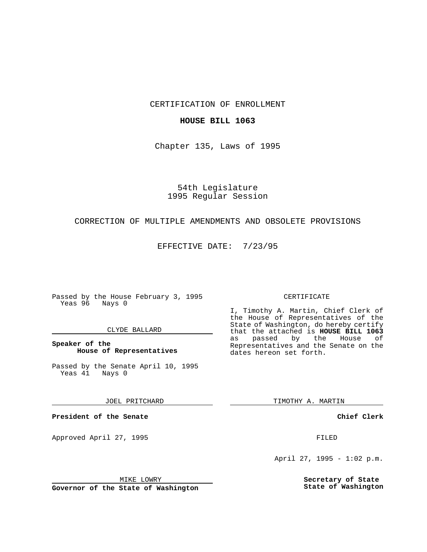CERTIFICATION OF ENROLLMENT

## **HOUSE BILL 1063**

Chapter 135, Laws of 1995

# 54th Legislature 1995 Regular Session

# CORRECTION OF MULTIPLE AMENDMENTS AND OBSOLETE PROVISIONS

EFFECTIVE DATE: 7/23/95

Passed by the House February 3, 1995 Yeas 96 Nays 0

## CLYDE BALLARD

# **Speaker of the House of Representatives**

Passed by the Senate April 10, 1995<br>Yeas 41 Nays 0 Yeas 41

#### JOEL PRITCHARD

**President of the Senate**

Approved April 27, 1995 FILED

## MIKE LOWRY

**Governor of the State of Washington**

#### CERTIFICATE

I, Timothy A. Martin, Chief Clerk of the House of Representatives of the State of Washington, do hereby certify that the attached is **HOUSE BILL 1063** as passed by the Representatives and the Senate on the dates hereon set forth.

TIMOTHY A. MARTIN

## **Chief Clerk**

April 27, 1995 - 1:02 p.m.

**Secretary of State State of Washington**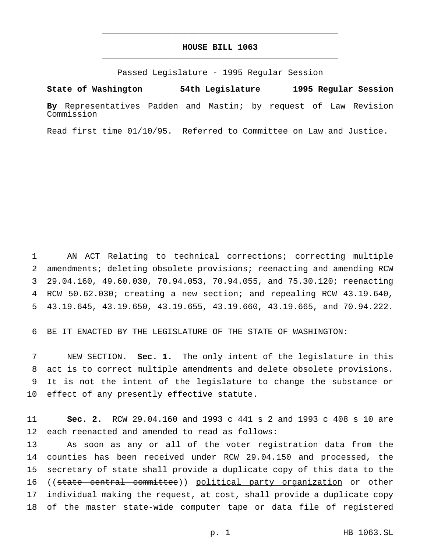# **HOUSE BILL 1063** \_\_\_\_\_\_\_\_\_\_\_\_\_\_\_\_\_\_\_\_\_\_\_\_\_\_\_\_\_\_\_\_\_\_\_\_\_\_\_\_\_\_\_\_\_\_\_

\_\_\_\_\_\_\_\_\_\_\_\_\_\_\_\_\_\_\_\_\_\_\_\_\_\_\_\_\_\_\_\_\_\_\_\_\_\_\_\_\_\_\_\_\_\_\_

Passed Legislature - 1995 Regular Session

**State of Washington 54th Legislature 1995 Regular Session**

**By** Representatives Padden and Mastin; by request of Law Revision Commission

Read first time 01/10/95. Referred to Committee on Law and Justice.

 AN ACT Relating to technical corrections; correcting multiple amendments; deleting obsolete provisions; reenacting and amending RCW 29.04.160, 49.60.030, 70.94.053, 70.94.055, and 75.30.120; reenacting RCW 50.62.030; creating a new section; and repealing RCW 43.19.640, 43.19.645, 43.19.650, 43.19.655, 43.19.660, 43.19.665, and 70.94.222.

BE IT ENACTED BY THE LEGISLATURE OF THE STATE OF WASHINGTON:

 NEW SECTION. **Sec. 1.** The only intent of the legislature in this act is to correct multiple amendments and delete obsolete provisions. It is not the intent of the legislature to change the substance or effect of any presently effective statute.

 **Sec. 2.** RCW 29.04.160 and 1993 c 441 s 2 and 1993 c 408 s 10 are each reenacted and amended to read as follows:

 As soon as any or all of the voter registration data from the counties has been received under RCW 29.04.150 and processed, the secretary of state shall provide a duplicate copy of this data to the 16 ((state central committee)) political party organization or other individual making the request, at cost, shall provide a duplicate copy of the master state-wide computer tape or data file of registered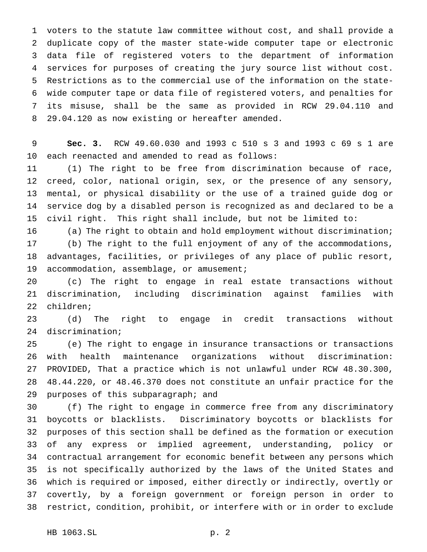voters to the statute law committee without cost, and shall provide a duplicate copy of the master state-wide computer tape or electronic data file of registered voters to the department of information services for purposes of creating the jury source list without cost. Restrictions as to the commercial use of the information on the state- wide computer tape or data file of registered voters, and penalties for its misuse, shall be the same as provided in RCW 29.04.110 and 29.04.120 as now existing or hereafter amended.

 **Sec. 3.** RCW 49.60.030 and 1993 c 510 s 3 and 1993 c 69 s 1 are each reenacted and amended to read as follows:

 (1) The right to be free from discrimination because of race, creed, color, national origin, sex, or the presence of any sensory, mental, or physical disability or the use of a trained guide dog or service dog by a disabled person is recognized as and declared to be a civil right. This right shall include, but not be limited to:

 (a) The right to obtain and hold employment without discrimination; (b) The right to the full enjoyment of any of the accommodations, advantages, facilities, or privileges of any place of public resort, 19 accommodation, assemblage, or amusement;

 (c) The right to engage in real estate transactions without discrimination, including discrimination against families with children;

 (d) The right to engage in credit transactions without discrimination;

 (e) The right to engage in insurance transactions or transactions with health maintenance organizations without discrimination: PROVIDED, That a practice which is not unlawful under RCW 48.30.300, 48.44.220, or 48.46.370 does not constitute an unfair practice for the purposes of this subparagraph; and

 (f) The right to engage in commerce free from any discriminatory boycotts or blacklists. Discriminatory boycotts or blacklists for purposes of this section shall be defined as the formation or execution of any express or implied agreement, understanding, policy or contractual arrangement for economic benefit between any persons which is not specifically authorized by the laws of the United States and which is required or imposed, either directly or indirectly, overtly or covertly, by a foreign government or foreign person in order to restrict, condition, prohibit, or interfere with or in order to exclude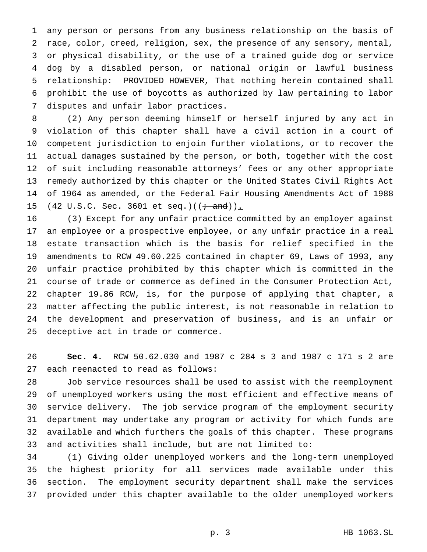any person or persons from any business relationship on the basis of race, color, creed, religion, sex, the presence of any sensory, mental, or physical disability, or the use of a trained guide dog or service dog by a disabled person, or national origin or lawful business relationship: PROVIDED HOWEVER, That nothing herein contained shall prohibit the use of boycotts as authorized by law pertaining to labor disputes and unfair labor practices.

 (2) Any person deeming himself or herself injured by any act in violation of this chapter shall have a civil action in a court of competent jurisdiction to enjoin further violations, or to recover the actual damages sustained by the person, or both, together with the cost of suit including reasonable attorneys' fees or any other appropriate remedy authorized by this chapter or the United States Civil Rights Act 14 of 1964 as amended, or the Federal Fair Housing Amendments Act of 1988 15 (42 U.S.C. Sec. 3601 et seq.)( $(i \text{ and } )$ ).

 (3) Except for any unfair practice committed by an employer against an employee or a prospective employee, or any unfair practice in a real estate transaction which is the basis for relief specified in the amendments to RCW 49.60.225 contained in chapter 69, Laws of 1993, any unfair practice prohibited by this chapter which is committed in the course of trade or commerce as defined in the Consumer Protection Act, chapter 19.86 RCW, is, for the purpose of applying that chapter, a matter affecting the public interest, is not reasonable in relation to the development and preservation of business, and is an unfair or deceptive act in trade or commerce.

 **Sec. 4.** RCW 50.62.030 and 1987 c 284 s 3 and 1987 c 171 s 2 are each reenacted to read as follows:

 Job service resources shall be used to assist with the reemployment of unemployed workers using the most efficient and effective means of service delivery. The job service program of the employment security department may undertake any program or activity for which funds are available and which furthers the goals of this chapter. These programs and activities shall include, but are not limited to:

 (1) Giving older unemployed workers and the long-term unemployed the highest priority for all services made available under this section. The employment security department shall make the services provided under this chapter available to the older unemployed workers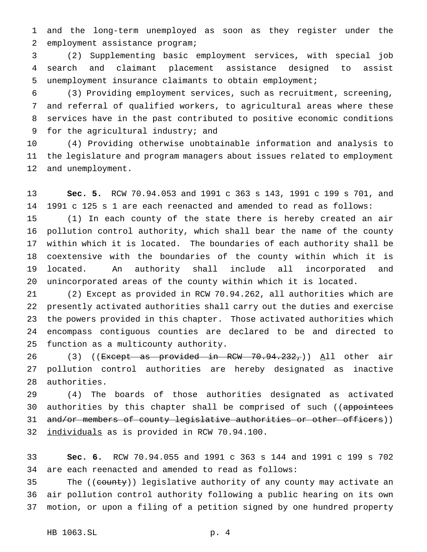and the long-term unemployed as soon as they register under the employment assistance program;

 (2) Supplementing basic employment services, with special job search and claimant placement assistance designed to assist unemployment insurance claimants to obtain employment;

 (3) Providing employment services, such as recruitment, screening, and referral of qualified workers, to agricultural areas where these services have in the past contributed to positive economic conditions for the agricultural industry; and

 (4) Providing otherwise unobtainable information and analysis to the legislature and program managers about issues related to employment and unemployment.

 **Sec. 5.** RCW 70.94.053 and 1991 c 363 s 143, 1991 c 199 s 701, and 1991 c 125 s 1 are each reenacted and amended to read as follows:

 (1) In each county of the state there is hereby created an air pollution control authority, which shall bear the name of the county within which it is located. The boundaries of each authority shall be coextensive with the boundaries of the county within which it is located. An authority shall include all incorporated and unincorporated areas of the county within which it is located.

 (2) Except as provided in RCW 70.94.262, all authorities which are presently activated authorities shall carry out the duties and exercise the powers provided in this chapter. Those activated authorities which encompass contiguous counties are declared to be and directed to function as a multicounty authority.

26 (3) ((Except as provided in RCW 70.94.232,)) All other air pollution control authorities are hereby designated as inactive authorities.

 (4) The boards of those authorities designated as activated 30 authorities by this chapter shall be comprised of such ((appointees 31 and/or members of county legislative authorities or other officers)) individuals as is provided in RCW 70.94.100.

 **Sec. 6.** RCW 70.94.055 and 1991 c 363 s 144 and 1991 c 199 s 702 are each reenacted and amended to read as follows:

35 The ((county)) legislative authority of any county may activate an air pollution control authority following a public hearing on its own motion, or upon a filing of a petition signed by one hundred property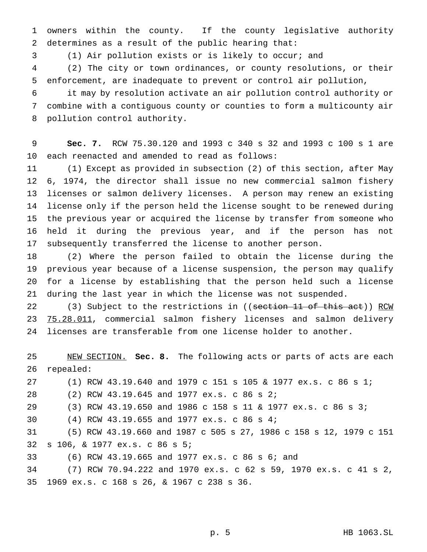owners within the county. If the county legislative authority determines as a result of the public hearing that:

(1) Air pollution exists or is likely to occur; and

 (2) The city or town ordinances, or county resolutions, or their enforcement, are inadequate to prevent or control air pollution,

 it may by resolution activate an air pollution control authority or combine with a contiguous county or counties to form a multicounty air pollution control authority.

 **Sec. 7.** RCW 75.30.120 and 1993 c 340 s 32 and 1993 c 100 s 1 are each reenacted and amended to read as follows:

 (1) Except as provided in subsection (2) of this section, after May 6, 1974, the director shall issue no new commercial salmon fishery licenses or salmon delivery licenses. A person may renew an existing license only if the person held the license sought to be renewed during the previous year or acquired the license by transfer from someone who held it during the previous year, and if the person has not subsequently transferred the license to another person.

 (2) Where the person failed to obtain the license during the previous year because of a license suspension, the person may qualify for a license by establishing that the person held such a license during the last year in which the license was not suspended.

22 (3) Subject to the restrictions in ((section 11 of this act)) RCM 23 75.28.011, commercial salmon fishery licenses and salmon delivery licenses are transferable from one license holder to another.

 NEW SECTION. **Sec. 8.** The following acts or parts of acts are each repealed: (1) RCW 43.19.640 and 1979 c 151 s 105 & 1977 ex.s. c 86 s 1; (2) RCW 43.19.645 and 1977 ex.s. c 86 s 2; (3) RCW 43.19.650 and 1986 c 158 s 11 & 1977 ex.s. c 86 s 3; (4) RCW 43.19.655 and 1977 ex.s. c 86 s 4; (5) RCW 43.19.660 and 1987 c 505 s 27, 1986 c 158 s 12, 1979 c 151 s 106, & 1977 ex.s. c 86 s 5; (6) RCW 43.19.665 and 1977 ex.s. c 86 s 6; and (7) RCW 70.94.222 and 1970 ex.s. c 62 s 59, 1970 ex.s. c 41 s 2, 1969 ex.s. c 168 s 26, & 1967 c 238 s 36.